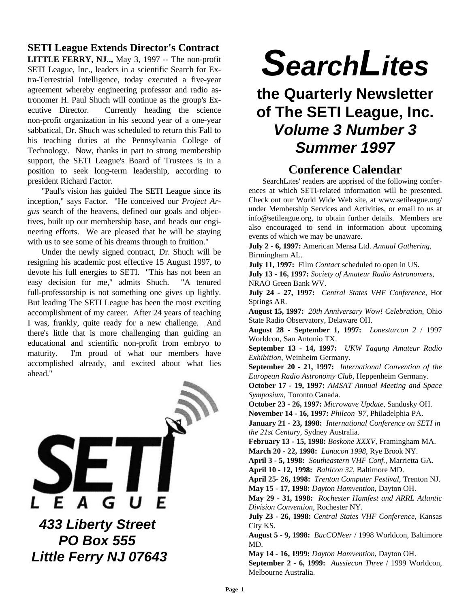## **SETI League Extends Director's Contract**

**LITTLE FERRY, NJ..,** May 3, 1997 -- The non-profit SETI League, Inc., leaders in a scientific Search for Extra-Terrestrial Intelligence, today executed a five-year agreement whereby engineering professor and radio astronomer H. Paul Shuch will continue as the group's Executive Director. Currently heading the science non-profit organization in his second year of a one-year sabbatical, Dr. Shuch was scheduled to return this Fall to his teaching duties at the Pennsylvania College of Technology. Now, thanks in part to strong membership support, the SETI League's Board of Trustees is in a position to seek long-term leadership, according to president Richard Factor.

"Paul's vision has guided The SETI League since its inception," says Factor. "He conceived our *Project Argus* search of the heavens, defined our goals and objectives, built up our membership base, and heads our engineering efforts. We are pleased that he will be staying with us to see some of his dreams through to fruition."

Under the newly signed contract, Dr. Shuch will be resigning his academic post effective 15 August 1997, to devote his full energies to SETI. "This has not been an easy decision for me," admits Shuch. "A tenured full-professorship is not something one gives up lightly. But leading The SETI League has been the most exciting accomplishment of my career. After 24 years of teaching I was, frankly, quite ready for a new challenge. And there's little that is more challenging than guiding an educational and scientific non-profit from embryo to maturity. I'm proud of what our members have accomplished already, and excited about what lies ahead."



*SearchLites*

# **the Quarterly Newsletter of The SETI League, Inc.** *Volume 3 Number 3 Summer 1997*

# **Conference Calendar**

SearchLites' readers are apprised of the following conferences at which SETI-related information will be presented. Check out our World Wide Web site, at www.setileague.org/ under Membership Services and Activities, or email to us at info@setileague.org, to obtain further details. Members are also encouraged to send in information about upcoming events of which we may be unaware.

**July 2 - 6, 1997:** American Mensa Ltd. *Annual Gathering*, Birmingham AL.

**July 11, 1997:** Film *Contact* scheduled to open in US.

**July 13 - 16, 1997:** *Society of Amateur Radio Astronomers*, NRAO Green Bank WV.

**July 24 - 27, 1997:** *Central States VHF Conference*, Hot Springs AR.

**August 15, 1997:** *20th Anniversary Wow! Celebration*, Ohio State Radio Observatory, Delaware OH.

**August 28 - September 1, 1997:** *Lonestarcon 2* / 1997 Worldcon, San Antonio TX.

**September 13 - 14, 1997:** *UKW Tagung Amateur Radio Exhibition*, Weinheim Germany.

**September 20 - 21, 1997:** *International Convention of the European Radio Astronomy Club*, Heppenheim Germany.

**October 17 - 19, 1997:** *AMSAT Annual Meeting and Space Symposium*, Toronto Canada.

**October 23 - 26, 1997:** *Microwave Update*, Sandusky OH. **November 14 - 16, 1997:** *Philcon '97*, Philadelphia PA.

**January 21 - 23, 1998:** *International Conference on SETI in the 21st Century*, Sydney Australia.

**February 13 - 15, 1998:** *Boskone XXXV*, Framingham MA. **March 20 - 22, 1998:** *Lunacon 1998*, Rye Brook NY.

**April 3 - 5, 1998:** *Southeastern VHF Conf.*, Marrietta GA. **April 10 - 12, 1998:** *Balticon 32*, Baltimore MD.

**April 25- 26, 1998:** *Trenton Computer Festival*, Trenton NJ. **May 15 - 17, 1998:** *Dayton Hamvention*, Dayton OH.

**May 29 - 31, 1998:** *Rochester Hamfest and ARRL Atlantic Division Convention*, Rochester NY.

**July 23 - 26, 1998:** *Central States VHF Conference*, Kansas City KS.

**August 5 - 9, 1998:** *BucCONeer* / 1998 Worldcon, Baltimore MD.

**May 14 - 16, 1999:** *Dayton Hamvention*, Dayton OH.

**September 2 - 6, 1999:** *Aussiecon Three* / 1999 Worldcon, Melbourne Australia.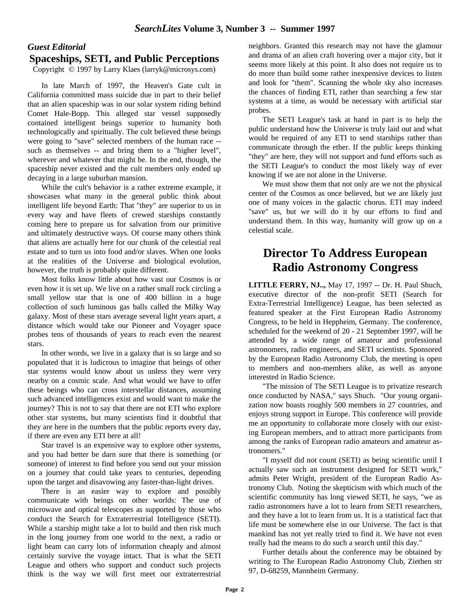#### *Guest Editorial* **Spaceships, SETI, and Public Perceptions**

Copyright © 1997 by Larry Klaes (larryk@microsys.com)

In late March of 1997, the Heaven's Gate cult in California committed mass suicide due in part to their belief that an alien spaceship was in our solar system riding behind Comet Hale-Bopp. This alleged star vessel supposedly contained intelligent beings superior to humanity both technologically and spiritually. The cult believed these beings were going to "save" selected members of the human race - such as themselves -- and bring them to a "higher level", wherever and whatever that might be. In the end, though, the spaceship never existed and the cult members only ended up decaying in a large suburban mansion.

While the cult's behavior is a rather extreme example, it showcases what many in the general public think about intelligent life beyond Earth: That "they" are superior to us in every way and have fleets of crewed starships constantly coming here to prepare us for salvation from our primitive and ultimately destructive ways. Of course many others think that aliens are actually here for our chunk of the celestial real estate and to turn us into food and/or slaves. When one looks at the realities of the Universe and biological evolution, however, the truth is probably quite different.

Most folks know little about how vast our Cosmos is or even how it is set up. We live on a rather small rock circling a small yellow star that is one of 400 billion in a huge collection of such luminous gas balls called the Milky Way galaxy. Most of these stars average several light years apart, a distance which would take our Pioneer and Voyager space probes tens of thousands of years to reach even the nearest stars.

In other words, we live in a galaxy that is so large and so populated that it is ludicrous to imagine that beings of other star systems would know about us unless they were very nearby on a cosmic scale. And what would we have to offer these beings who can cross interstellar distances, assuming such advanced intelligences exist and would want to make the journey? This is not to say that there are not ETI who explore other star systems, but many scientists find it doubtful that they are here in the numbers that the public reports every day, if there are even any ETI here at all!

Star travel is an expensive way to explore other systems, and you had better be darn sure that there is something (or someone) of interest to find before you send out your mission on a journey that could take years to centuries, depending upon the target and disavowing any faster-than-light drives.

There is an easier way to explore and possibly communicate with beings on other worlds: The use of microwave and optical telescopes as supported by those who conduct the Search for Extraterrestrial Intelligence (SETI). While a starship might take a lot to build and then risk much in the long journey from one world to the next, a radio or light beam can carry lots of information cheaply and almost certainly survive the voyage intact. That is what the SETI League and others who support and conduct such projects think is the way we will first meet our extraterrestrial

neighbors. Granted this research may not have the glamour and drama of an alien craft hovering over a major city, but it seems more likely at this point. It also does not require us to do more than build some rather inexpensive devices to listen and look for "them". Scanning the whole sky also increases the chances of finding ETI, rather than searching a few star systems at a time, as would be necessary with artificial star probes.

The SETI League's task at hand in part is to help the public understand how the Universe is truly laid out and what would be required of any ETI to send starships rather than communicate through the ether. If the public keeps thinking "they" are here, they will not support and fund efforts such as the SETI League's to conduct the most likely way of ever knowing if we are not alone in the Universe.

We must show them that not only are we not the physical center of the Cosmos as once believed, but we are likely just one of many voices in the galactic chorus. ETI may indeed "save" us, but we will do it by our efforts to find and understand them. In this way, humanity will grow up on a celestial scale.

# **Director To Address European Radio Astronomy Congress**

**LITTLE FERRY, NJ..,** May 17, 1997 -- Dr. H. Paul Shuch, executive director of the non-profit SETI (Search for Extra-Terrestrial Intelligence) League, has been selected as featured speaker at the First European Radio Astronomy Congress, to be held in Heppheim, Germany. The conference, scheduled for the weekend of 20 - 21 September 1997, will be attended by a wide range of amateur and professional astronomers, radio engineers, and SETI scientists. Sponsored by the European Radio Astronomy Club, the meeting is open to members and non-members alike, as well as anyone interested in Radio Science.

"The mission of The SETI League is to privatize research once conducted by NASA," says Shuch. "Our young organization now boasts roughly 500 members in 27 countries, and enjoys strong support in Europe. This conference will provide me an opportunity to collaborate more closely with our existing European members, and to attract more participants from among the ranks of European radio amateurs and amateur astronomers."

"I myself did not count (SETI) as being scientific until I actually saw such an instrument designed for SETI work," admits Peter Wright, president of the European Radio Astronomy Club. Noting the skepticism with which much of the scientific community has long viewed SETI, he says, "we as radio astronomers have a lot to learn from SETI researchers, and they have a lot to learn from us. It is a statistical fact that life must be somewhere else in our Universe. The fact is that mankind has not yet really tried to find it. We have not even really had the means to do such a search until this day."

Further details about the conference may be obtained by writing to The European Radio Astronomy Club, Ziethen str 97, D-68259, Mannheim Germany.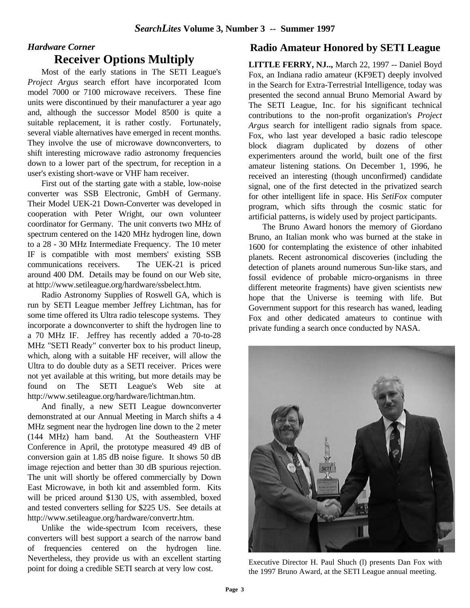### *Hardware Corner* **Receiver Options Multiply**

Most of the early stations in The SETI League's *Project Argus* search effort have incorporated Icom model 7000 or 7100 microwave receivers. These fine units were discontinued by their manufacturer a year ago and, although the successor Model 8500 is quite a suitable replacement, it is rather costly. Fortunately, several viable alternatives have emerged in recent months. They involve the use of microwave downconverters, to shift interesting microwave radio astronomy frequencies down to a lower part of the spectrum, for reception in a user's existing short-wave or VHF ham receiver.

First out of the starting gate with a stable, low-noise converter was SSB Electronic, GmbH of Germany. Their Model UEK-21 Down-Converter was developed in cooperation with Peter Wright, our own volunteer coordinator for Germany. The unit converts two MHz of spectrum centered on the 1420 MHz hydrogen line, down to a 28 - 30 MHz Intermediate Frequency. The 10 meter IF is compatible with most members' existing SSB communications receivers. The UEK-21 is priced around 400 DM. Details may be found on our Web site, at http://www.setileague.org/hardware/ssbelect.htm.

Radio Astronomy Supplies of Roswell GA, which is run by SETI League member Jeffrey Lichtman, has for some time offered its Ultra radio telescope systems. They incorporate a downconverter to shift the hydrogen line to a 70 MHz IF. Jeffrey has recently added a 70-to-28 MHz "SETI Ready" converter box to his product lineup, which, along with a suitable HF receiver, will allow the Ultra to do double duty as a SETI receiver. Prices were not yet available at this writing, but more details may be found on The SETI League's Web site at http://www.setileague.org/hardware/lichtman.htm.

And finally, a new SETI League downconverter demonstrated at our Annual Meeting in March shifts a 4 MHz segment near the hydrogen line down to the 2 meter (144 MHz) ham band. At the Southeastern VHF Conference in April, the prototype measured 49 dB of conversion gain at 1.85 dB noise figure. It shows 50 dB image rejection and better than 30 dB spurious rejection. The unit will shortly be offered commercially by Down East Microwave, in both kit and assembled form. Kits will be priced around \$130 US, with assembled, boxed and tested converters selling for \$225 US. See details at http://www.setileague.org/hardware/convertr.htm.

Unlike the wide-spectrum Icom receivers, these converters will best support a search of the narrow band of frequencies centered on the hydrogen line. Nevertheless, they provide us with an excellent starting point for doing a credible SETI search at very low cost.

### **Radio Amateur Honored by SETI League**

**LITTLE FERRY, NJ..,** March 22, 1997 -- Daniel Boyd Fox, an Indiana radio amateur (KF9ET) deeply involved in the Search for Extra-Terrestrial Intelligence, today was presented the second annual Bruno Memorial Award by The SETI League, Inc. for his significant technical contributions to the non-profit organization's *Project Argus* search for intelligent radio signals from space. Fox, who last year developed a basic radio telescope block diagram duplicated by dozens of other experimenters around the world, built one of the first amateur listening stations. On December 1, 1996, he received an interesting (though unconfirmed) candidate signal, one of the first detected in the privatized search for other intelligent life in space. His *SetiFox* computer program, which sifts through the cosmic static for artificial patterns, is widely used by project participants.

The Bruno Award honors the memory of Giordano Bruno, an Italian monk who was burned at the stake in 1600 for contemplating the existence of other inhabited planets. Recent astronomical discoveries (including the detection of planets around numerous Sun-like stars, and fossil evidence of probable micro-organisms in three different meteorite fragments) have given scientists new hope that the Universe is teeming with life. But Government support for this research has waned, leading Fox and other dedicated amateurs to continue with private funding a search once conducted by NASA.



Executive Director H. Paul Shuch (l) presents Dan Fox with the 1997 Bruno Award, at the SETI League annual meeting.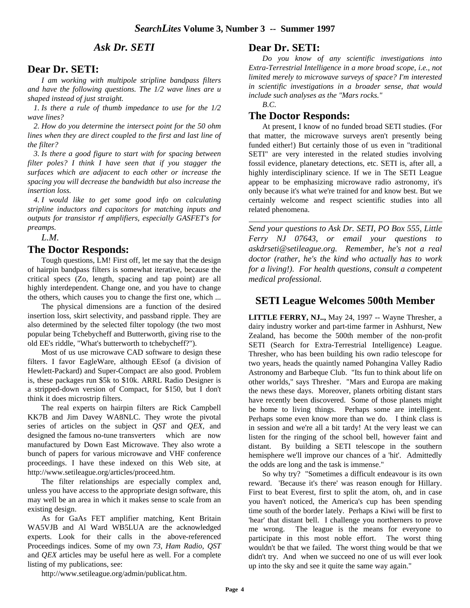#### *Ask Dr. SETI*

#### **Dear Dr. SETI:**

*I am working with multipole stripline bandpass filters and have the following questions. The 1/2 wave lines are u shaped instead of just straight.*

 *1. Is there a rule of thumb impedance to use for the 1/2 wave lines?*

 *2. How do you determine the intersect point for the 50 ohm lines when they are direct coupled to the first and last line of the filter?*

 *3. Is there a good figure to start with for spacing between filter poles? I think I have seen that if you stagger the surfaces which are adjacent to each other or increase the spacing you will decrease the bandwidth but also increase the insertion loss.*

 *4. I would like to get some good info on calculating stripline inductors and capacitors for matching inputs and outputs for transistor rf amplifiers, especially GASFET's for preamps.*

*L.M.*

#### **The Doctor Responds:**

Tough questions, LM! First off, let me say that the design of hairpin bandpass filters is somewhat iterative, because the critical specs (Zo, length, spacing and tap point) are all highly interdependent. Change one, and you have to change the others, which causes you to change the first one, which ...

The physical dimensions are a function of the desired insertion loss, skirt selectivity, and passband ripple. They are also determined by the selected filter topology (the two most popular being Tchebycheff and Butterworth, giving rise to the old EE's riddle, "What's butterworth to tchebycheff?").

Most of us use microwave CAD software to design these filters. I favor EagleWare, although EEsof (a division of Hewlett-Packard) and Super-Compact are also good. Problem is, these packages run \$5k to \$10k. ARRL Radio Designer is a stripped-down version of Compact, for \$150, but I don't think it does microstrip filters.

The real experts on hairpin filters are Rick Campbell KK7B and Jim Davey WA8NLC. They wrote the pivotal series of articles on the subject in *QST* and *QEX*, and designed the famous no-tune transverters which are now manufactured by Down East Microwave. They also wrote a bunch of papers for various microwave and VHF conference proceedings. I have these indexed on this Web site, at http://www.setileague.org/articles/proceed.htm.

The filter relationships are especially complex and, unless you have access to the appropriate design software, this may well be an area in which it makes sense to scale from an existing design.

As for GaAs FET amplifier matching, Kent Britain WA5VJB and Al Ward WB5LUA are the acknowledged experts. Look for their calls in the above-referenced Proceedings indices. Some of my own *73*, *Ham Radio*, *QST* and *QEX* articles may be useful here as well. For a complete listing of my publications, see:

**Dear Dr. SETI:**

*Do you know of any scientific investigations into Extra-Terrestrial Intelligence in a more broad scope, i.e., not limited merely to microwave surveys of space? I'm interested in scientific investigations in a broader sense, that would include such analyses as the "Mars rocks."*

*B.C.*

#### **The Doctor Responds:**

At present, I know of no funded broad SETI studies. (For that matter, the microwave surveys aren't presently being funded either!) But certainly those of us even in "traditional SETI" are very interested in the related studies involving fossil evidence, planetary detections, etc. SETI is, after all, a highly interdisciplinary science. If we in The SETI League appear to be emphasizing microwave radio astronomy, it's only because it's what we're trained for and know best. But we certainly welcome and respect scientific studies into all related phenomena.

*Send your questions to Ask Dr. SETI, PO Box 555, Little Ferry NJ 07643, or email your questions to askdrseti@setileague.org. Remember, he's not a real doctor (rather, he's the kind who actually has to work for a living!). For health questions, consult a competent medical professional.*

#### **SETI League Welcomes 500th Member**

**LITTLE FERRY, NJ..,** May 24, 1997 -- Wayne Thresher, a dairy industry worker and part-time farmer in Ashhurst, New Zealand, has become the 500th member of the non-profit SETI (Search for Extra-Terrestrial Intelligence) League. Thresher, who has been building his own radio telescope for two years, heads the quaintly named Pohangina Valley Radio Astronomy and Barbeque Club. "Its fun to think about life on other worlds," says Thresher. "Mars and Europa are making the news these days. Moreover, planets orbiting distant stars have recently been discovered. Some of those planets might be home to living things. Perhaps some are intelligent. Perhaps some even know more than we do. I think class is in session and we're all a bit tardy! At the very least we can listen for the ringing of the school bell, however faint and distant. By building a SETI telescope in the southern hemisphere we'll improve our chances of a 'hit'. Admittedly the odds are long and the task is immense."

So why try? "Sometimes a difficult endeavour is its own reward. 'Because it's there' was reason enough for Hillary. First to beat Everest, first to split the atom, oh, and in case you haven't noticed, the America's cup has been spending time south of the border lately. Perhaps a Kiwi will be first to 'hear' that distant bell. I challenge you northerners to prove me wrong. The league is the means for everyone to participate in this most noble effort. The worst thing wouldn't be that we failed. The worst thing would be that we didn't try. And when we succeed no one of us will ever look up into the sky and see it quite the same way again."

http://www.setileague.org/admin/publicat.htm.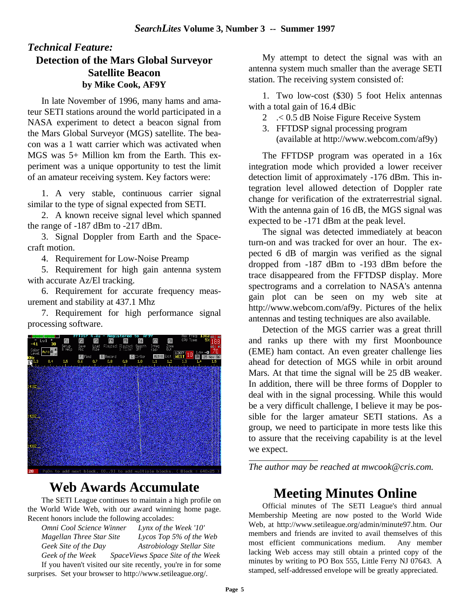### *Technical Feature:* **Detection of the Mars Global Surveyor Satellite Beacon by Mike Cook, AF9Y**

In late November of 1996, many hams and amateur SETI stations around the world participated in a NASA experiment to detect a beacon signal from the Mars Global Surveyor (MGS) satellite. The beacon was a 1 watt carrier which was activated when MGS was 5+ Million km from the Earth. This experiment was a unique opportunity to test the limit of an amateur receiving system. Key factors were:

1. A very stable, continuous carrier signal similar to the type of signal expected from SETI.

2. A known receive signal level which spanned the range of -187 dBm to -217 dBm.

3. Signal Doppler from Earth and the Spacecraft motion.

4. Requirement for Low-Noise Preamp

5. Requirement for high gain antenna system with accurate Az/El tracking.

6. Requirement for accurate frequency measurement and stability at 437.1 Mhz

7. Requirement for high performance signal processing software.



# **Web Awards Accumulate**

The SETI League continues to maintain a high profile on the World Wide Web, with our award winning home page. Recent honors include the following accolades:

*Omni Cool Science Winner Lynx of the Week '10' Magellan Three Star Site Lycos Top 5% of the Web Geek Site of the Day Astrobiology Stellar Site Geek of the Week SpaceViews Space Site of the Week*

If you haven't visited our site recently, you're in for some surprises. Set your browser to http://www.setileague.org/.

My attempt to detect the signal was with an antenna system much smaller than the average SETI station. The receiving system consisted of:

1. Two low-cost (\$30) 5 foot Helix antennas with a total gain of 16.4 dBic

- 2 .< 0.5 dB Noise Figure Receive System
- 3. FFTDSP signal processing program (available at http://www.webcom.com/af9y)

The FFTDSP program was operated in a 16x integration mode which provided a lower receiver detection limit of approximately -176 dBm. This integration level allowed detection of Doppler rate change for verification of the extraterrestrial signal. With the antenna gain of 16 dB, the MGS signal was expected to be -171 dBm at the peak level.

The signal was detected immediately at beacon turn-on and was tracked for over an hour. The expected 6 dB of margin was verified as the signal dropped from -187 dBm to -193 dBm before the trace disappeared from the FFTDSP display. More spectrograms and a correlation to NASA's antenna gain plot can be seen on my web site at http://www.webcom.com/af9y. Pictures of the helix antennas and testing techniques are also available.

Detection of the MGS carrier was a great thrill and ranks up there with my first Moonbounce (EME) ham contact. An even greater challenge lies ahead for detection of MGS while in orbit around Mars. At that time the signal will be 25 dB weaker. In addition, there will be three forms of Doppler to deal with in the signal processing. While this would be a very difficult challenge, I believe it may be possible for the larger amateur SETI stations. As a group, we need to participate in more tests like this to assure that the receiving capability is at the level we expect.

*The author may be reached at mwcook@cris.com.*

# **Meeting Minutes Online**

Official minutes of The SETI League's third annual Membership Meeting are now posted to the World Wide Web, at http://www.setileague.org/admin/minute97.htm. Our members and friends are invited to avail themselves of this most efficient communications medium. Any member lacking Web access may still obtain a printed copy of the minutes by writing to PO Box 555, Little Ferry NJ 07643. A stamped, self-addressed envelope will be greatly appreciated.